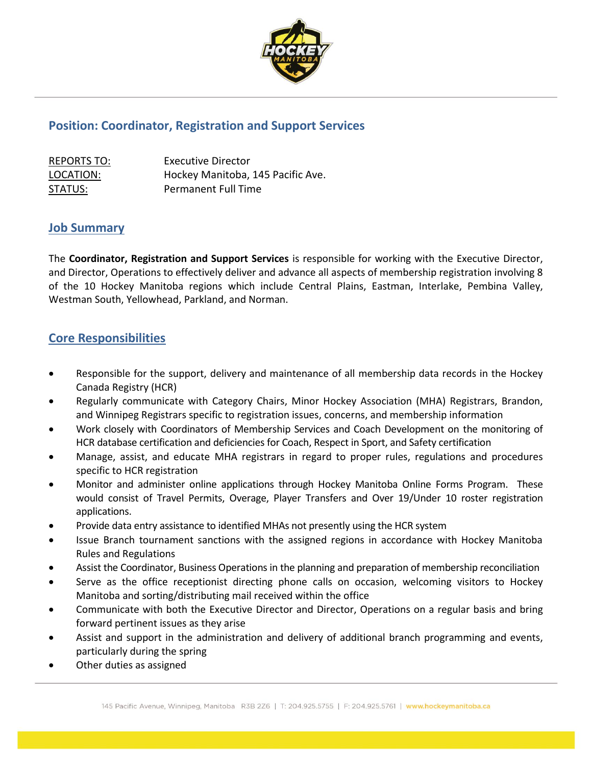

## **Position: Coordinator, Registration and Support Services**

| <b>REPORTS TO:</b> | Executive Director                |
|--------------------|-----------------------------------|
| LOCATION:          | Hockey Manitoba, 145 Pacific Ave. |
| STATUS:            | Permanent Full Time               |

## **Job Summary**

The **Coordinator, Registration and Support Services** is responsible for working with the Executive Director, and Director, Operations to effectively deliver and advance all aspects of membership registration involving 8 of the 10 Hockey Manitoba regions which include Central Plains, Eastman, Interlake, Pembina Valley, Westman South, Yellowhead, Parkland, and Norman.

## **Core Responsibilities**

- Responsible for the support, delivery and maintenance of all membership data records in the Hockey Canada Registry (HCR)
- Regularly communicate with Category Chairs, Minor Hockey Association (MHA) Registrars, Brandon, and Winnipeg Registrars specific to registration issues, concerns, and membership information
- Work closely with Coordinators of Membership Services and Coach Development on the monitoring of HCR database certification and deficiencies for Coach, Respect in Sport, and Safety certification
- Manage, assist, and educate MHA registrars in regard to proper rules, regulations and procedures specific to HCR registration
- Monitor and administer online applications through Hockey Manitoba Online Forms Program. These would consist of Travel Permits, Overage, Player Transfers and Over 19/Under 10 roster registration applications.
- Provide data entry assistance to identified MHAs not presently using the HCR system
- Issue Branch tournament sanctions with the assigned regions in accordance with Hockey Manitoba Rules and Regulations
- Assist the Coordinator, Business Operations in the planning and preparation of membership reconciliation
- Serve as the office receptionist directing phone calls on occasion, welcoming visitors to Hockey Manitoba and sorting/distributing mail received within the office
- Communicate with both the Executive Director and Director, Operations on a regular basis and bring forward pertinent issues as they arise
- Assist and support in the administration and delivery of additional branch programming and events, particularly during the spring
- Other duties as assigned